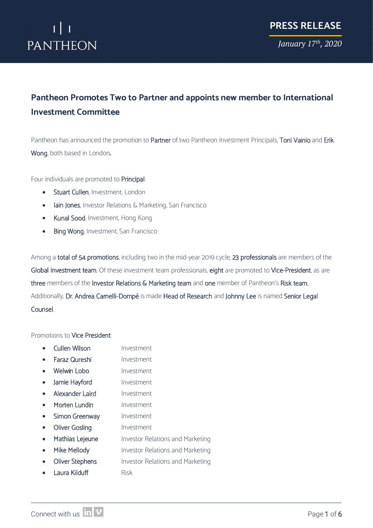*January 17th, 2020*

## **Pantheon Promotes Two to Partner and appoints new member to International Investment Committee**

Pantheon has announced the promotion to Partner of two Pantheon Investment Principals, Toni Vainio and Erik Wong, both based in London**.**

Four individuals are promoted to Principal:

- Stuart Cullen, Investment, London
- Iain Jones, Investor Relations & Marketing, San Francisco
- Kunal Sood, Investment, Hong Kong
- Bing Wong, Investment, San Francisco

Among a total of 54 promotions, including two in the mid-year 2019 cycle, 23 professionals are members of the Global Investment team. Of these investment team professionals, eight are promoted to Vice-President, as are three members of the Investor Relations & Marketing team and one member of Pantheon's Risk team. Additionally, Dr. Andrea Carnelli-Dompé is made Head of Research and Johnny Lee is named Senior Legal Counsel.

#### Promotions to Vice President:

|           | <b>Cullen Wilson</b>   | Investment                              |
|-----------|------------------------|-----------------------------------------|
|           | Faraz Qureshi          | Investment                              |
|           | Welwin Lobo            | Investment                              |
|           | Jamie Hayford          | Investment                              |
|           | Alexander Laird        | Investment                              |
|           | Morten Lundin          | Investment                              |
| $\bullet$ | Simon Greenway         | Investment                              |
| $\bullet$ | Oliver Gosling         | Investment                              |
| $\bullet$ | Mathias Lejeune        | <b>Investor Relations and Marketing</b> |
| $\bullet$ | Mike Mellody           | <b>Investor Relations and Marketing</b> |
|           | <b>Oliver Stephens</b> | <b>Investor Relations and Marketing</b> |
|           | Laura Kilduff          | <b>Risk</b>                             |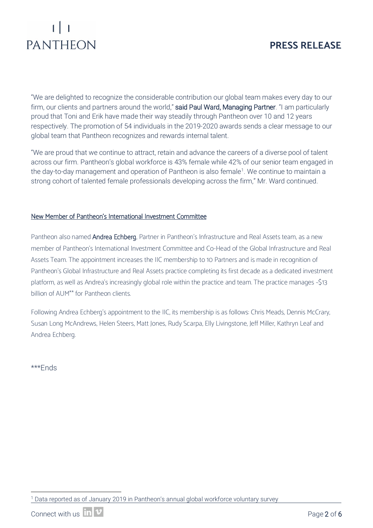### **PRESS RELEASE**

"We are delighted to recognize the considerable contribution our global team makes every day to our firm, our clients and partners around the world," said Paul Ward, Managing Partner. "I am particularly proud that Toni and Erik have made their way steadily through Pantheon over 10 and 12 years respectively. The promotion of 54 individuals in the 2019-2020 awards sends a clear message to our global team that Pantheon recognizes and rewards internal talent.

"We are proud that we continue to attract, retain and advance the careers of a diverse pool of talent across our firm. Pantheon's global workforce is 43% female while 42% of our senior team engaged in the day-to-day management and operation of Pantheon is also female<sup>[1](#page-1-0)</sup>. We continue to maintain a strong cohort of talented female professionals developing across the firm," Mr. Ward continued.

#### New Member of Pantheon's International Investment Committee

Pantheon also named Andrea Echberg, Partner in Pantheon's Infrastructure and Real Assets team, as a new member of Pantheon's International Investment Committee and Co-Head of the Global Infrastructure and Real Assets Team. The appointment increases the IIC membership to 10 Partners and is made in recognition of Pantheon's Global Infrastructure and Real Assets practice completing its first decade as a dedicated investment platform, as well as Andrea's increasingly global role within the practice and team. The practice manages ~\$13 billion of AUM\*\* for Pantheon clients.

Following Andrea Echberg's appointment to the IIC, its membership is as follows: Chris Meads, Dennis McCrary, Susan Long McAndrews, Helen Steers, Matt Jones, Rudy Scarpa, Elly Livingstone, Jeff Miller, Kathryn Leaf and Andrea Echberg.

\*\*\*Ends

<span id="page-1-0"></span> <sup>1</sup> Data reported as of January 2019 in Pantheon's annual global workforce voluntary survey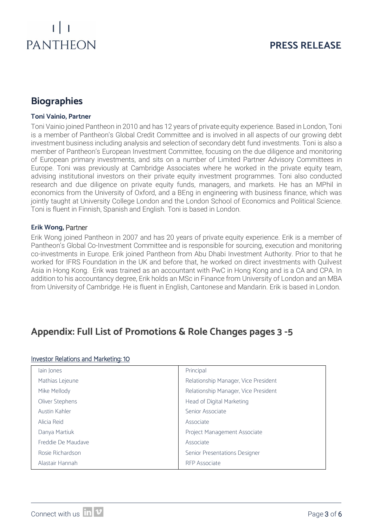## **PRESS RELEASE**

## **Biographies**

#### **Toni Vainio, Partner**

Toni Vainio joined Pantheon in 2010 and has 12 years of private equity experience. Based in London, Toni is a member of Pantheon's Global Credit Committee and is involved in all aspects of our growing debt investment business including analysis and selection of secondary debt fund investments. Toni is also a member of Pantheon's European Investment Committee, focusing on the due diligence and monitoring of European primary investments, and sits on a number of Limited Partner Advisory Committees in Europe. Toni was previously at Cambridge Associates where he worked in the private equity team, advising institutional investors on their private equity investment programmes. Toni also conducted research and due diligence on private equity funds, managers, and markets. He has an MPhil in economics from the University of Oxford, and a BEng in engineering with business finance, which was jointly taught at University College London and the London School of Economics and Political Science. Toni is fluent in Finnish, Spanish and English. Toni is based in London.

#### **Erik Wong,** Partner

Erik Wong joined Pantheon in 2007 and has 20 years of private equity experience. Erik is a member of Pantheon's Global Co-Investment Committee and is responsible for sourcing, execution and monitoring co-investments in Europe. Erik joined Pantheon from Abu Dhabi Investment Authority. Prior to that he worked for IFRS Foundation in the UK and before that, he worked on direct investments with Quilvest Asia in Hong Kong. Erik was trained as an accountant with PwC in Hong Kong and is a CA and CPA. In addition to his accountancy degree, Erik holds an MSc in Finance from University of London and an MBA from University of Cambridge. He is fluent in English, Cantonese and Mandarin. Erik is based in London.

### **Appendix: Full List of Promotions & Role Changes pages 3 -5**

#### Investor Relations and Marketing: 10

| lain Jones         | Principal                            |
|--------------------|--------------------------------------|
| Mathias Lejeune    | Relationship Manager, Vice President |
| Mike Mellody       | Relationship Manager, Vice President |
| Oliver Stephens    | Head of Digital Marketing            |
| Austin Kahler      | Senior Associate                     |
| Alicia Reid        | Associate                            |
| Danya Martiuk      | Project Management Associate         |
| Freddie De Maudave | Associate                            |
| Rosie Richardson   | Senior Presentations Designer        |
| Alastair Hannah    | <b>RFP</b> Associate                 |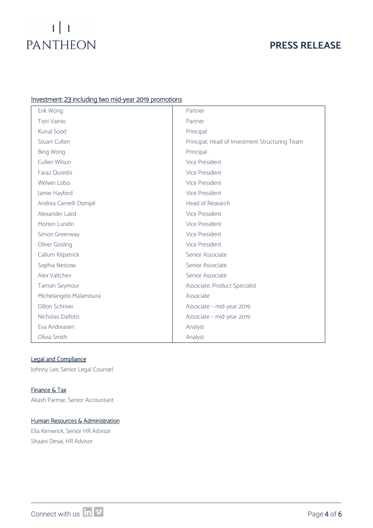## $\begin{bmatrix} 1 & 1 \\ 1 & 1 \end{bmatrix}$ PANTHEON

### **PRESS RELEASE**

#### Investment: 23 including two mid-year 2019 promotions

| Erik Wong               | Partner                                        |
|-------------------------|------------------------------------------------|
| Toni Vainio             | Partner                                        |
| Kunal Sood              | Principal                                      |
| <b>Stuart Cullen</b>    | Principal, Head of Investment Structuring Team |
| <b>Bing Wong</b>        | Principal                                      |
| Cullen Wilson           | Vice President                                 |
| Faraz Qureshi           | Vice President                                 |
| Welwin Lobo             | Vice President                                 |
| Jamie Hayford           | Vice President                                 |
| Andrea Carnelli Dompé   | Head of Research                               |
| Alexander Laird         | Vice President                                 |
| Morten Lundin           | Vice President                                 |
| Simon Greenway          | Vice President                                 |
| Oliver Gosling          | Vice President                                 |
| Callum Kilpatrick       | Senior Associate                               |
| Sophia Nessow           | Senior Associate                               |
| Alex Valtchev           | Senior Associate                               |
| Tamsin Seymour          | Associate, Product Specialist                  |
| Michelangelo Malamisura | Associate                                      |
| Dillon Schriver         | Associate - mid-year 2019                      |
| Nicholas Daifotis       | Associate - mid-year 2019                      |
| Eva Andreasen           | Analyst                                        |
| Olivia Smith            | Analyst                                        |

#### Legal and Compliance

Johnny Lee, Senior Legal Counsel

#### Finance & Tax Akash Parmar, Senior Accountant

#### Human Resources & Administration

Ella Kenwrick, Senior HR Advisor Shaani Desai, HR Advisor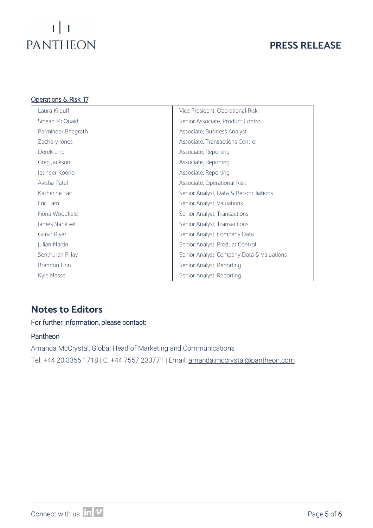## $\left| \cdot \right|$   $\left| \cdot \right|$   $\left| \cdot \right|$ PANTHEON

## **PRESS RELEASE**

| <u> Operations &amp; Risk: 17</u> |                                           |  |
|-----------------------------------|-------------------------------------------|--|
| Laura Kilduff                     | Vice President, Operational Risk          |  |
| Sinead McQuaid                    | Senior Associate, Product Control         |  |
| Parminder Bhagrath                | Associate, Business Analyst               |  |
| Zachary Jones                     | Associate, Transactions Control           |  |
| Derek Ling                        | Associate, Reporting                      |  |
| Greg Jackson                      | Associate, Reporting                      |  |
| Jatinder Kooner                   | Associate, Reporting                      |  |
| Avisha Patel                      | Associate, Operational Risk               |  |
| Katherine Fair                    | Senior Analyst, Data & Reconciliations    |  |
| Eric Lam                          | Senior Analyst, Valuations                |  |
| Fiona Woodfield                   | Senior Analyst, Transactions              |  |
| James Nankivell                   | Senior Analyst, Transactions              |  |
| Gurvir Riyat                      | Senior Analyst, Company Data              |  |
| Julian Martin                     | Senior Analyst, Product Control           |  |
| Senthuran Pillay                  | Senior Analyst, Company Data & Valuations |  |
| Brandon Finn                      | Senior Analyst, Reporting                 |  |
| Kyle Masse                        | Senior Analyst, Reporting                 |  |

## **Notes to Editors**

#### For further information, please contact:

#### Pantheon

Amanda McCrystal, Global Head of Marketing and Communications Tel: +44 20 3356 1718 | C: +44 7557 233771 | Email: [amanda.mccrystal@pantheon.com](mailto:amanda.mccrystal@pantheon.com)